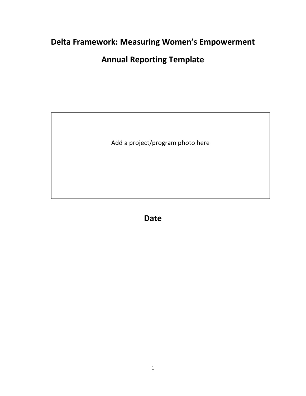# **Delta Framework: Measuring Women's Empowerment**

# **Annual Reporting Template**

Add a project/program photo here

**Date**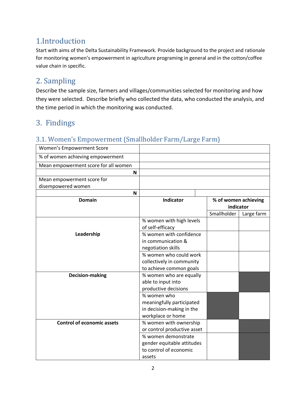# 1.Introduction

Start with aims of the Delta Sustainability Framework. Provide background to the project and rationale for monitoring women's empowerment in agriculture programing in general and in the cotton/coffee value chain in specific.

# 2. Sampling

Describe the sample size, farmers and villages/communities selected for monitoring and how they were selected. Describe briefly who collected the data, who conducted the analysis, and the time period in which the monitoring was conducted.

# 3. Findings

## 3.1. Women's Empowerment (Smallholder Farm/Large Farm)

| Women's Empowerment Score            |                                              |                                   |            |
|--------------------------------------|----------------------------------------------|-----------------------------------|------------|
| % of women achieving empowerment     |                                              |                                   |            |
| Mean empowerment score for all women |                                              |                                   |            |
| N                                    |                                              |                                   |            |
| Mean empowerment score for           |                                              |                                   |            |
| disempowered women                   |                                              |                                   |            |
| N                                    |                                              |                                   |            |
| <b>Domain</b>                        | <b>Indicator</b>                             | % of women achieving<br>indicator |            |
|                                      |                                              | Smallholder                       | Large farm |
|                                      | % women with high levels<br>of self-efficacy |                                   |            |
| Leadership                           | % women with confidence                      |                                   |            |
|                                      | in communication &                           |                                   |            |
|                                      | negotiation skills                           |                                   |            |
|                                      | % women who could work                       |                                   |            |
|                                      | collectively in community                    |                                   |            |
|                                      | to achieve common goals                      |                                   |            |
| <b>Decision-making</b>               | % women who are equally                      |                                   |            |
|                                      | able to input into                           |                                   |            |
|                                      | productive decisions                         |                                   |            |
|                                      | % women who                                  |                                   |            |
|                                      | meaningfully participated                    |                                   |            |
|                                      | in decision-making in the                    |                                   |            |
|                                      | workplace or home                            |                                   |            |
| <b>Control of economic assets</b>    | % women with ownership                       |                                   |            |
|                                      | or control productive asset                  |                                   |            |
|                                      | % women demonstrate                          |                                   |            |
|                                      | gender equitable attitudes                   |                                   |            |
|                                      | to control of economic                       |                                   |            |
|                                      | assets                                       |                                   |            |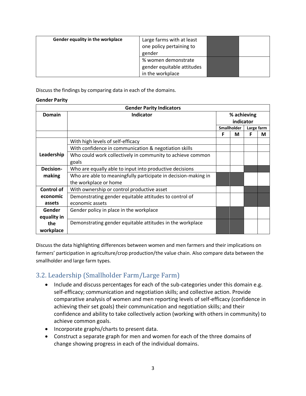| Gender equality in the workplace | Large farms with at least<br>one policy pertaining to<br>gender       |  |
|----------------------------------|-----------------------------------------------------------------------|--|
|                                  | % women demonstrate<br>gender equitable attitudes<br>in the workplace |  |

Discuss the findings by comparing data in each of the domains.

#### **Gender Parity**

|             | <b>Gender Parity Indicators</b>                                |                           |             |   |   |  |  |
|-------------|----------------------------------------------------------------|---------------------------|-------------|---|---|--|--|
| Domain      | <b>Indicator</b>                                               |                           | % achieving |   |   |  |  |
|             |                                                                |                           | indicator   |   |   |  |  |
|             |                                                                | Smallholder<br>Large farm |             |   |   |  |  |
|             |                                                                | F                         | М           | F | М |  |  |
|             | With high levels of self-efficacy                              |                           |             |   |   |  |  |
|             | With confidence in communication & negotiation skills          |                           |             |   |   |  |  |
| Leadership  | Who could work collectively in community to achieve common     |                           |             |   |   |  |  |
|             | goals                                                          |                           |             |   |   |  |  |
| Decision-   | Who are equally able to input into productive decisions        |                           |             |   |   |  |  |
| making      | Who are able to meaningfully participate in decision-making in |                           |             |   |   |  |  |
|             | the workplace or home                                          |                           |             |   |   |  |  |
| Control of  | With ownership or control productive asset                     |                           |             |   |   |  |  |
| economic    | Demonstrating gender equitable attitudes to control of         |                           |             |   |   |  |  |
| assets      | economic assets                                                |                           |             |   |   |  |  |
| Gender      | Gender policy in place in the workplace                        |                           |             |   |   |  |  |
| equality in |                                                                |                           |             |   |   |  |  |
| the         | Demonstrating gender equitable attitudes in the workplace      |                           |             |   |   |  |  |
| workplace   |                                                                |                           |             |   |   |  |  |

Discuss the data highlighting differences between women and men farmers and their implications on farmers' participation in agriculture/crop production/the value chain. Also compare data between the smallholder and large farm types.

## 3.2. Leadership (Smallholder Farm/Large Farm)

- Include and discuss percentages for each of the sub-categories under this domain e.g. self-efficacy; communication and negotiation skills; and collective action. Provide comparative analysis of women and men reporting levels of self-efficacy (confidence in achieving their set goals) their communication and negotiation skills; and their confidence and ability to take collectively action (working with others in community) to achieve common goals.
- Incorporate graphs/charts to present data.
- Construct a separate graph for men and women for each of the three domains of change showing progress in each of the individual domains.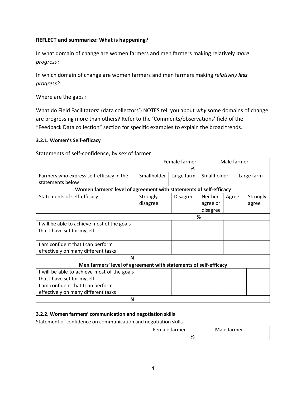#### **REFLECT and summarize: What is happening?**

In what domain of change are women farmers and men farmers making relatively *more progress*?

In which domain of change are women farmers and men farmers making *relatively less progress?*

Where are the gaps?

What do Field Facilitators' (data collectors') NOTES tell you about *why* some domains of change are progressing more than others? Refer to the 'Comments/observations' field of the "Feedback Data collection" section for specific examples to explain the broad trends.

#### **3.2.1. Women's Self-efficacy**

#### Statements of self-confidence, by sex of farmer

| Female farmer                                                      |             |                 |          | Male farmer               |  |          |
|--------------------------------------------------------------------|-------------|-----------------|----------|---------------------------|--|----------|
|                                                                    |             | ℅               |          |                           |  |          |
| Farmers who express self-efficacy in the                           | Smallholder | Large farm      |          | Large farm<br>Smallholder |  |          |
| statements below                                                   |             |                 |          |                           |  |          |
| Women farmers' level of agreement with statements of self-efficacy |             |                 |          |                           |  |          |
| Statements of self-efficacy                                        | Strongly    | <b>Disagree</b> | Neither  | Agree                     |  | Strongly |
|                                                                    | disagree    |                 | agree or |                           |  | agree    |
|                                                                    |             |                 | disagree |                           |  |          |
| %                                                                  |             |                 |          |                           |  |          |
| I will be able to achieve most of the goals                        |             |                 |          |                           |  |          |
| that I have set for myself                                         |             |                 |          |                           |  |          |
|                                                                    |             |                 |          |                           |  |          |
| I am confident that I can perform                                  |             |                 |          |                           |  |          |
| effectively on many different tasks                                |             |                 |          |                           |  |          |
| N                                                                  |             |                 |          |                           |  |          |
| Men farmers' level of agreement with statements of self-efficacy   |             |                 |          |                           |  |          |
| I will be able to achieve most of the goals                        |             |                 |          |                           |  |          |
| that I have set for myself                                         |             |                 |          |                           |  |          |
| I am confident that I can perform                                  |             |                 |          |                           |  |          |
| effectively on many different tasks                                |             |                 |          |                           |  |          |
| N                                                                  |             |                 |          |                           |  |          |

#### **3.2.2. Women farmers' communication and negotiation skills**

Statement of confidence on communication and negotiation skills

| - -- -<br>rmer | n n r<br>וטו<br>v<br>. –<br>c |
|----------------|-------------------------------|
|                | п.<br>70                      |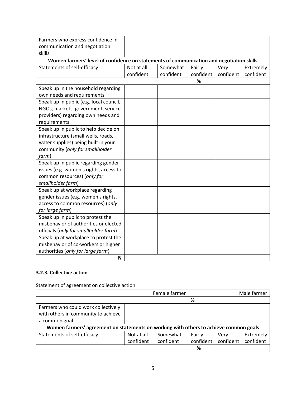| Farmers who express confidence in<br>communication and negotiation<br>skills             |            |           |           |           |           |
|------------------------------------------------------------------------------------------|------------|-----------|-----------|-----------|-----------|
| Women farmers' level of confidence on statements of communication and negotiation skills |            |           |           |           |           |
| Statements of self-efficacy                                                              | Not at all | Somewhat  | Fairly    | Very      | Extremely |
|                                                                                          | confident  | confident | confident | confident | confident |
|                                                                                          |            |           | %         |           |           |
| Speak up in the household regarding<br>own needs and requirements                        |            |           |           |           |           |
| Speak up in public (e.g. local council,                                                  |            |           |           |           |           |
| NGOs, markets, government, service                                                       |            |           |           |           |           |
| providers) regarding own needs and                                                       |            |           |           |           |           |
| requirements                                                                             |            |           |           |           |           |
| Speak up in public to help decide on                                                     |            |           |           |           |           |
| infrastructure (small wells, roads,                                                      |            |           |           |           |           |
| water supplies) being built in your                                                      |            |           |           |           |           |
| community (only for smallholder                                                          |            |           |           |           |           |
| farm)                                                                                    |            |           |           |           |           |
| Speak up in public regarding gender                                                      |            |           |           |           |           |
| issues (e.g. women's rights, access to                                                   |            |           |           |           |           |
| common resources) (only for                                                              |            |           |           |           |           |
| smallholder farm)                                                                        |            |           |           |           |           |
| Speak up at workplace regarding                                                          |            |           |           |           |           |
| gender issues (e.g. women's rights,                                                      |            |           |           |           |           |
| access to common resources) (only                                                        |            |           |           |           |           |
| for large farm)                                                                          |            |           |           |           |           |
| Speak up in public to protest the                                                        |            |           |           |           |           |
| misbehavior of authorities or elected                                                    |            |           |           |           |           |
| officials (only for smallholder farm)                                                    |            |           |           |           |           |
| Speak up at workplace to protest the                                                     |            |           |           |           |           |
| misbehavior of co-workers or higher                                                      |            |           |           |           |           |
| authorities (only for large farm)                                                        |            |           |           |           |           |
| N                                                                                        |            |           |           |           |           |

#### **3.2.3. Collective action**

Statement of agreement on collective action

|                                                                                       |            | Female farmer |           |           | Male farmer |  |
|---------------------------------------------------------------------------------------|------------|---------------|-----------|-----------|-------------|--|
|                                                                                       |            |               | %         |           |             |  |
| Farmers who could work collectively                                                   |            |               |           |           |             |  |
| with others in community to achieve                                                   |            |               |           |           |             |  |
| a common goal                                                                         |            |               |           |           |             |  |
| Women farmers' agreement on statements on working with others to achieve common goals |            |               |           |           |             |  |
| Statements of self-efficacy                                                           | Not at all | Somewhat      | Fairly    | Very      | Extremely   |  |
|                                                                                       | confident  | confident     | confident | confident | confident   |  |
| %                                                                                     |            |               |           |           |             |  |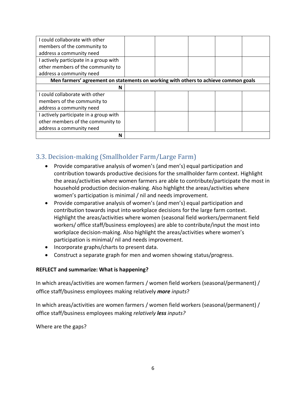| I could collaborate with other                                                      |  |  |  |  |  |
|-------------------------------------------------------------------------------------|--|--|--|--|--|
| members of the community to                                                         |  |  |  |  |  |
| address a community need                                                            |  |  |  |  |  |
| I actively participate in a group with                                              |  |  |  |  |  |
| other members of the community to                                                   |  |  |  |  |  |
| address a community need                                                            |  |  |  |  |  |
| Men farmers' agreement on statements on working with others to achieve common goals |  |  |  |  |  |
| N                                                                                   |  |  |  |  |  |
| I could collaborate with other                                                      |  |  |  |  |  |
| members of the community to                                                         |  |  |  |  |  |
| address a community need                                                            |  |  |  |  |  |
| I actively participate in a group with                                              |  |  |  |  |  |
| other members of the community to                                                   |  |  |  |  |  |
| address a community need                                                            |  |  |  |  |  |
| N                                                                                   |  |  |  |  |  |

## 3.3. Decision-making (Smallholder Farm/Large Farm)

- Provide comparative analysis of women's (and men's) equal participation and contribution towards productive decisions for the smallholder farm context. Highlight the areas/activities where women farmers are able to contribute/participate the most in household production decision-making. Also highlight the areas/activities where women's participation is minimal / nil and needs improvement.
- Provide comparative analysis of women's (and men's) equal participation and contribution towards input into workplace decisions for the large farm context. Highlight the areas/activities where women (seasonal field workers/permanent field workers/ office staff/business employees) are able to contribute/input the most into workplace decision-making. Also highlight the areas/activities where women's participation is minimal/ nil and needs improvement.
- Incorporate graphs/charts to present data.
- Construct a separate graph for men and women showing status/progress.

### **REFLECT and summarize: What is happening?**

In which areas/activities are women farmers / women field workers (seasonal/permanent) / office staff/business employees making relatively *more inputs*?

In which areas/activities are women farmers / women field workers (seasonal/permanent) / office staff/business employees making *relatively less inputs?*

Where are the gaps?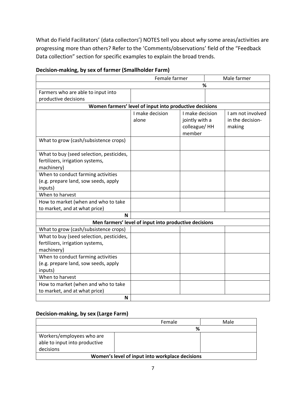What do Field Facilitators' (data collectors') NOTES tell you about *why* some areas/activities are progressing more than others? Refer to the 'Comments/observations' field of the "Feedback Data collection" section for specific examples to explain the broad trends.

| Female farmer                            |                                                         |                        | Male farmer |                   |
|------------------------------------------|---------------------------------------------------------|------------------------|-------------|-------------------|
|                                          |                                                         |                        | %           |                   |
| Farmers who are able to input into       |                                                         |                        |             |                   |
| productive decisions                     |                                                         |                        |             |                   |
|                                          | Women farmers' level of input into productive decisions |                        |             |                   |
|                                          | I make decision                                         | I make decision        |             | I am not involved |
|                                          | alone                                                   | jointly with a         |             | in the decision-  |
|                                          |                                                         | colleague/HH<br>member |             | making            |
| What to grow (cash/subsistence crops)    |                                                         |                        |             |                   |
| What to buy (seed selection, pesticides, |                                                         |                        |             |                   |
| fertilizers, irrigation systems,         |                                                         |                        |             |                   |
| machinery)                               |                                                         |                        |             |                   |
| When to conduct farming activities       |                                                         |                        |             |                   |
| (e.g. prepare land, sow seeds, apply     |                                                         |                        |             |                   |
| inputs)                                  |                                                         |                        |             |                   |
| When to harvest                          |                                                         |                        |             |                   |
| How to market (when and who to take      |                                                         |                        |             |                   |
| to market, and at what price)            |                                                         |                        |             |                   |
| N                                        |                                                         |                        |             |                   |
|                                          | Men farmers' level of input into productive decisions   |                        |             |                   |
| What to grow (cash/subsistence crops)    |                                                         |                        |             |                   |
| What to buy (seed selection, pesticides, |                                                         |                        |             |                   |
| fertilizers, irrigation systems,         |                                                         |                        |             |                   |
| machinery)                               |                                                         |                        |             |                   |
| When to conduct farming activities       |                                                         |                        |             |                   |
| (e.g. prepare land, sow seeds, apply     |                                                         |                        |             |                   |
| inputs)                                  |                                                         |                        |             |                   |
| When to harvest                          |                                                         |                        |             |                   |
| How to market (when and who to take      |                                                         |                        |             |                   |
| to market, and at what price)            |                                                         |                        |             |                   |
| N                                        |                                                         |                        |             |                   |

### **Decision-making, by sex of farmer (Smallholder Farm)**

### **Decision-making, by sex (Large Farm)**

|                                                 | Female | Male |  |  |
|-------------------------------------------------|--------|------|--|--|
|                                                 | %      |      |  |  |
| Workers/employees who are                       |        |      |  |  |
| able to input into productive                   |        |      |  |  |
| decisions                                       |        |      |  |  |
| Women's level of input into workplace decisions |        |      |  |  |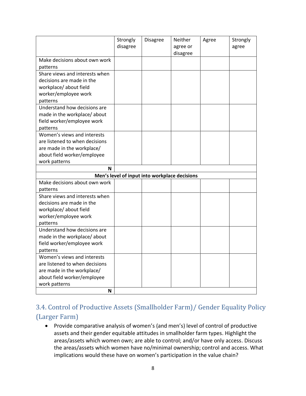|                                | Strongly<br>disagree | <b>Disagree</b>                               | Neither<br>agree or<br>disagree | Agree | Strongly<br>agree |
|--------------------------------|----------------------|-----------------------------------------------|---------------------------------|-------|-------------------|
| Make decisions about own work  |                      |                                               |                                 |       |                   |
| patterns                       |                      |                                               |                                 |       |                   |
| Share views and interests when |                      |                                               |                                 |       |                   |
| decisions are made in the      |                      |                                               |                                 |       |                   |
| workplace/about field          |                      |                                               |                                 |       |                   |
| worker/employee work           |                      |                                               |                                 |       |                   |
| patterns                       |                      |                                               |                                 |       |                   |
| Understand how decisions are   |                      |                                               |                                 |       |                   |
| made in the workplace/about    |                      |                                               |                                 |       |                   |
| field worker/employee work     |                      |                                               |                                 |       |                   |
| patterns                       |                      |                                               |                                 |       |                   |
| Women's views and interests    |                      |                                               |                                 |       |                   |
| are listened to when decisions |                      |                                               |                                 |       |                   |
| are made in the workplace/     |                      |                                               |                                 |       |                   |
| about field worker/employee    |                      |                                               |                                 |       |                   |
| work patterns                  |                      |                                               |                                 |       |                   |
| N                              |                      |                                               |                                 |       |                   |
|                                |                      | Men's level of input into workplace decisions |                                 |       |                   |
| Make decisions about own work  |                      |                                               |                                 |       |                   |
| patterns                       |                      |                                               |                                 |       |                   |
| Share views and interests when |                      |                                               |                                 |       |                   |
| decisions are made in the      |                      |                                               |                                 |       |                   |
| workplace/about field          |                      |                                               |                                 |       |                   |
| worker/employee work           |                      |                                               |                                 |       |                   |
| patterns                       |                      |                                               |                                 |       |                   |
| Understand how decisions are   |                      |                                               |                                 |       |                   |
| made in the workplace/about    |                      |                                               |                                 |       |                   |
| field worker/employee work     |                      |                                               |                                 |       |                   |
| patterns                       |                      |                                               |                                 |       |                   |
| Women's views and interests    |                      |                                               |                                 |       |                   |
| are listened to when decisions |                      |                                               |                                 |       |                   |
| are made in the workplace/     |                      |                                               |                                 |       |                   |
| about field worker/employee    |                      |                                               |                                 |       |                   |
| work patterns<br>N             |                      |                                               |                                 |       |                   |
|                                |                      |                                               |                                 |       |                   |

## 3.4. Control of Productive Assets (Smallholder Farm)/ Gender Equality Policy (Larger Farm)

• Provide comparative analysis of women's (and men's) level of control of productive assets and their gender equitable attitudes in smallholder farm types. Highlight the areas/assets which women own; are able to control; and/or have only access. Discuss the areas/assets which women have no/minimal ownership; control and access. What implications would these have on women's participation in the value chain?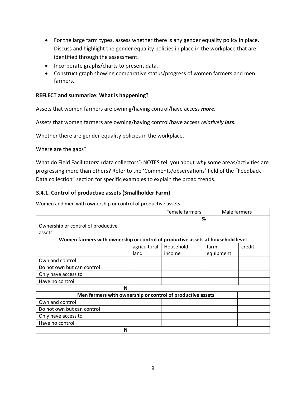- For the large farm types, assess whether there is any gender equality policy in place. Discuss and highlight the gender equality policies in place in the workplace that are identified through the assessment.
- Incorporate graphs/charts to present data.
- Construct graph showing comparative status/progress of women farmers and men farmers.

#### **REFLECT and summarize: What is happening?**

Assets that women farmers are owning/having control/have access *more.*

Assets that women farmers are owning/having control/have access *relatively less.*

Whether there are gender equality policies in the workplace.

Where are the gaps?

What do Field Facilitators' (data collectors') NOTES tell you about *why* some areas/activities are progressing more than others? Refer to the 'Comments/observations' field of the "Feedback Data collection" section for specific examples to explain the broad trends.

#### **3.4.1. Control of productive assets (Smallholder Farm)**

Women and men with ownership or control of productive assets

| <b>Female farmers</b>                                                           |              | Male farmers |           |        |
|---------------------------------------------------------------------------------|--------------|--------------|-----------|--------|
|                                                                                 |              |              | %         |        |
| Ownership or control of productive                                              |              |              |           |        |
| assets                                                                          |              |              |           |        |
| Women farmers with ownership or control of productive assets at household level |              |              |           |        |
|                                                                                 | agricultural | Household    | farm      | credit |
|                                                                                 | land         | income       | equipment |        |
| Own and control                                                                 |              |              |           |        |
| Do not own but can control                                                      |              |              |           |        |
| Only have access to                                                             |              |              |           |        |
| Have no control                                                                 |              |              |           |        |
| N                                                                               |              |              |           |        |
| Men farmers with ownership or control of productive assets                      |              |              |           |        |
| Own and control                                                                 |              |              |           |        |
| Do not own but can control                                                      |              |              |           |        |
| Only have access to                                                             |              |              |           |        |
| Have no control                                                                 |              |              |           |        |
| N                                                                               |              |              |           |        |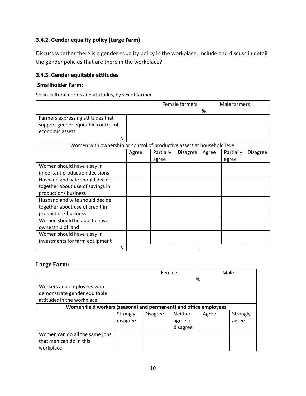### **3.4.2. Gender equality policy (Large Farm)**

Discuss whether there is a gender equality policy in the workplace. Include and discuss in detail the gender policies that are there in the workplace?

### **3.4.3. Gender equitable attitudes**

#### **Smallholder Farm:**

Socio-cultural norms and attitudes, by sex of farmer

|                                                                         | Female farmers |           |                 | Male farmers |           |                 |
|-------------------------------------------------------------------------|----------------|-----------|-----------------|--------------|-----------|-----------------|
|                                                                         | %              |           |                 |              |           |                 |
| Farmers expressing attitudes that                                       |                |           |                 |              |           |                 |
| support gender equitable control of                                     |                |           |                 |              |           |                 |
| economic assets                                                         |                |           |                 |              |           |                 |
| N                                                                       |                |           |                 |              |           |                 |
| Women with ownership or control of productive assets at household level |                |           |                 |              |           |                 |
|                                                                         | Agree          | Partially | <b>Disagree</b> | Agree        | Partially | <b>Disagree</b> |
|                                                                         |                | agree     |                 |              | agree     |                 |
| Women should have a say in                                              |                |           |                 |              |           |                 |
| important production decisions                                          |                |           |                 |              |           |                 |
| Husband and wife should decide                                          |                |           |                 |              |           |                 |
| together about use of savings in                                        |                |           |                 |              |           |                 |
| production/ business                                                    |                |           |                 |              |           |                 |
| Husband and wife should decide                                          |                |           |                 |              |           |                 |
| together about use of credit in                                         |                |           |                 |              |           |                 |
| production/ business                                                    |                |           |                 |              |           |                 |
| Women should be able to have                                            |                |           |                 |              |           |                 |
| ownership of land                                                       |                |           |                 |              |           |                 |
| Women should have a say in                                              |                |           |                 |              |           |                 |
| investments for farm equipment                                          |                |           |                 |              |           |                 |
| N                                                                       |                |           |                 |              |           |                 |

### **Large Farm:**

|                                                                   | Female   |                 |                | Male  |          |
|-------------------------------------------------------------------|----------|-----------------|----------------|-------|----------|
|                                                                   | %        |                 |                |       |          |
| Workers and employees who                                         |          |                 |                |       |          |
| demonstrate gender equitable                                      |          |                 |                |       |          |
| attitudes in the workplace                                        |          |                 |                |       |          |
| Women field workers (seasonal and permanent) and office employees |          |                 |                |       |          |
|                                                                   | Strongly | <b>Disagree</b> | <b>Neither</b> | Agree | Strongly |
|                                                                   | disagree |                 | agree or       |       | agree    |
|                                                                   |          |                 | disagree       |       |          |
| Women can do all the same jobs                                    |          |                 |                |       |          |
| that men can do in this                                           |          |                 |                |       |          |
| workplace                                                         |          |                 |                |       |          |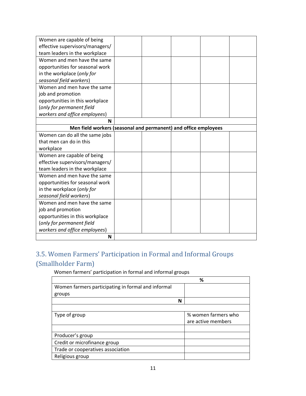| Women are capable of being                                      |  |  |  |
|-----------------------------------------------------------------|--|--|--|
| effective supervisors/managers/                                 |  |  |  |
| team leaders in the workplace                                   |  |  |  |
| Women and men have the same                                     |  |  |  |
| opportunities for seasonal work                                 |  |  |  |
|                                                                 |  |  |  |
| in the workplace (only for                                      |  |  |  |
| seasonal field workers)                                         |  |  |  |
| Women and men have the same                                     |  |  |  |
| job and promotion                                               |  |  |  |
| opportunities in this workplace                                 |  |  |  |
| (only for permanent field                                       |  |  |  |
| workers and office employees)                                   |  |  |  |
| N                                                               |  |  |  |
| Men field workers (seasonal and permanent) and office employees |  |  |  |
| Women can do all the same jobs                                  |  |  |  |
| that men can do in this                                         |  |  |  |
| workplace                                                       |  |  |  |
| Women are capable of being                                      |  |  |  |
| effective supervisors/managers/                                 |  |  |  |
| team leaders in the workplace                                   |  |  |  |
| Women and men have the same                                     |  |  |  |
| opportunities for seasonal work                                 |  |  |  |
| in the workplace (only for                                      |  |  |  |
| seasonal field workers)                                         |  |  |  |
| Women and men have the same                                     |  |  |  |
| job and promotion                                               |  |  |  |
| opportunities in this workplace                                 |  |  |  |
| (only for permanent field                                       |  |  |  |
| workers and office employees)                                   |  |  |  |
| N                                                               |  |  |  |

## 3.5. Women Farmers' Participation in Formal and Informal Groups (Smallholder Farm)

Women farmers' participation in formal and informal groups

|                                                    | %                   |
|----------------------------------------------------|---------------------|
| Women farmers participating in formal and informal |                     |
| groups                                             |                     |
| N                                                  |                     |
|                                                    |                     |
| Type of group                                      | % women farmers who |
|                                                    | are active members  |
|                                                    |                     |
| Producer's group                                   |                     |
| Credit or microfinance group                       |                     |
| Trade or cooperatives association                  |                     |
| Religious group                                    |                     |